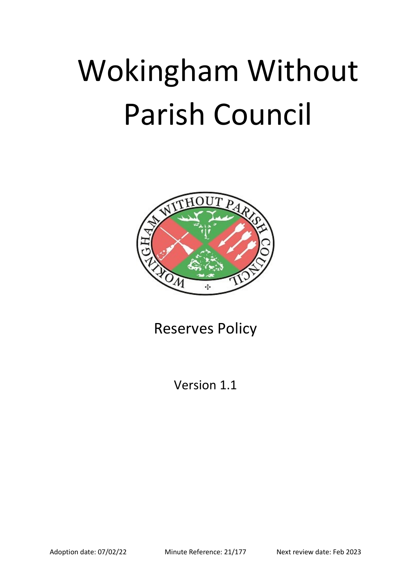# Wokingham Without Parish Council



Reserves Policy

Version 1.1

Adoption date: 07/02/22 Minute Reference: 21/177 Next review date: Feb 2023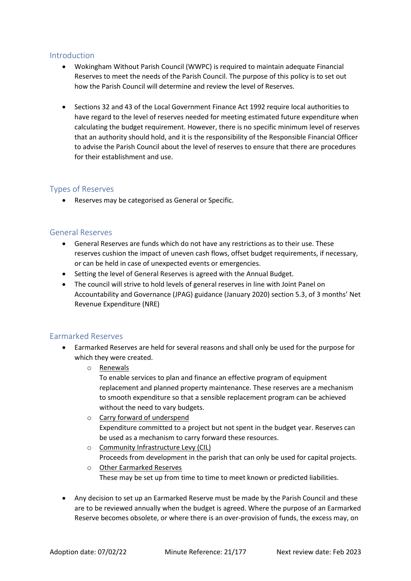#### Introduction

- Wokingham Without Parish Council (WWPC) is required to maintain adequate Financial Reserves to meet the needs of the Parish Council. The purpose of this policy is to set out how the Parish Council will determine and review the level of Reserves.
- Sections 32 and 43 of the Local Government Finance Act 1992 require local authorities to have regard to the level of reserves needed for meeting estimated future expenditure when calculating the budget requirement. However, there is no specific minimum level of reserves that an authority should hold, and it is the responsibility of the Responsible Financial Officer to advise the Parish Council about the level of reserves to ensure that there are procedures for their establishment and use.

# Types of Reserves

Reserves may be categorised as General or Specific.

### General Reserves

- General Reserves are funds which do not have any restrictions as to their use. These reserves cushion the impact of uneven cash flows, offset budget requirements, if necessary, or can be held in case of unexpected events or emergencies.
- Setting the level of General Reserves is agreed with the Annual Budget.
- The council will strive to hold levels of general reserves in line with Joint Panel on Accountability and Governance (JPAG) guidance (January 2020) section 5.3, of 3 months' Net Revenue Expenditure (NRE)

## Earmarked Reserves

- Earmarked Reserves are held for several reasons and shall only be used for the purpose for which they were created.
	- o Renewals

To enable services to plan and finance an effective program of equipment replacement and planned property maintenance. These reserves are a mechanism to smooth expenditure so that a sensible replacement program can be achieved without the need to vary budgets.

- o Carry forward of underspend Expenditure committed to a project but not spent in the budget year. Reserves can be used as a mechanism to carry forward these resources.
- o Community Infrastructure Levy (CIL) Proceeds from development in the parish that can only be used for capital projects.
- o Other Earmarked Reserves These may be set up from time to time to meet known or predicted liabilities.
- Any decision to set up an Earmarked Reserve must be made by the Parish Council and these are to be reviewed annually when the budget is agreed. Where the purpose of an Earmarked Reserve becomes obsolete, or where there is an over-provision of funds, the excess may, on